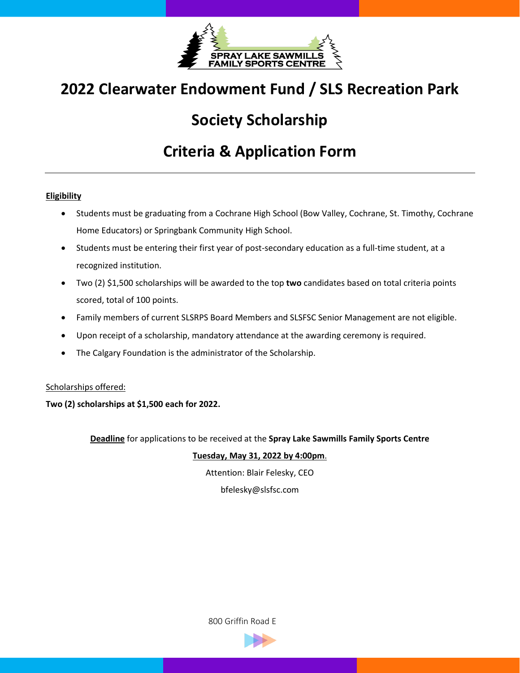

# **2022 Clearwater Endowment Fund / SLS Recreation Park**

## **Society Scholarship**

## **Criteria & Application Form**

### **Eligibility**

- Students must be graduating from a Cochrane High School (Bow Valley, Cochrane, St. Timothy, Cochrane Home Educators) or Springbank Community High School.
- Students must be entering their first year of post-secondary education as a full-time student, at a recognized institution.
- Two (2) \$1,500 scholarships will be awarded to the top **two** candidates based on total criteria points scored, total of 100 points.
- Family members of current SLSRPS Board Members and SLSFSC Senior Management are not eligible.
- Upon receipt of a scholarship, mandatory attendance at the awarding ceremony is required.
- The Calgary Foundation is the administrator of the Scholarship.

### Scholarships offered:

**Two (2) scholarships at \$1,500 each for 2022.** 

**Deadline** for applications to be received at the **Spray Lake Sawmills Family Sports Centre**

### **Tuesday, May 31, 2022 by 4:00pm**.

Attention: Blair Felesky, CEO

bfelesky@slsfsc.com

800 Griffin Road E

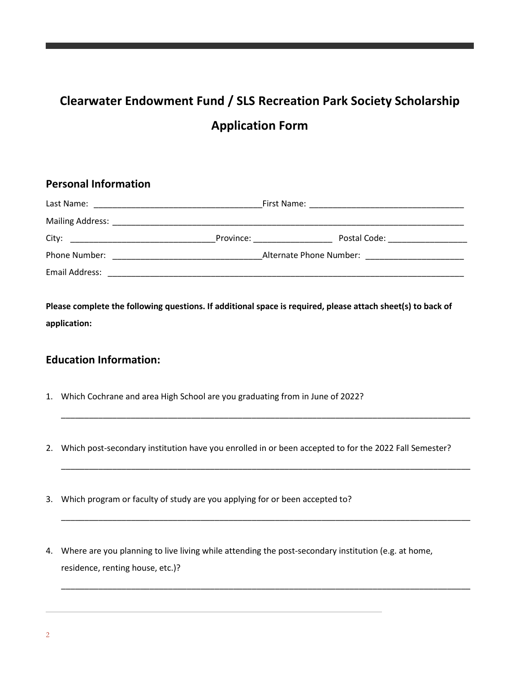# **Clearwater Endowment Fund / SLS Recreation Park Society Scholarship Application Form**

## **Personal Information**

|                | Province: <u>________________</u>                        |  |
|----------------|----------------------------------------------------------|--|
| Phone Number:  | Alternate Phone Number: National Alternate Phone Number: |  |
| Email Address: |                                                          |  |

**Please complete the following questions. If additional space is required, please attach sheet(s) to back of application:**

## **Education Information:**

- 1. Which Cochrane and area High School are you graduating from in June of 2022?
- 2. Which post-secondary institution have you enrolled in or been accepted to for the 2022 Fall Semester?

\_\_\_\_\_\_\_\_\_\_\_\_\_\_\_\_\_\_\_\_\_\_\_\_\_\_\_\_\_\_\_\_\_\_\_\_\_\_\_\_\_\_\_\_\_\_\_\_\_\_\_\_\_\_\_\_\_\_\_\_\_\_\_\_\_\_\_\_\_\_\_\_\_\_\_\_\_\_\_\_\_\_\_\_\_\_\_\_

\_\_\_\_\_\_\_\_\_\_\_\_\_\_\_\_\_\_\_\_\_\_\_\_\_\_\_\_\_\_\_\_\_\_\_\_\_\_\_\_\_\_\_\_\_\_\_\_\_\_\_\_\_\_\_\_\_\_\_\_\_\_\_\_\_\_\_\_\_\_\_\_\_\_\_\_\_\_\_\_\_\_\_\_\_\_\_\_

\_\_\_\_\_\_\_\_\_\_\_\_\_\_\_\_\_\_\_\_\_\_\_\_\_\_\_\_\_\_\_\_\_\_\_\_\_\_\_\_\_\_\_\_\_\_\_\_\_\_\_\_\_\_\_\_\_\_\_\_\_\_\_\_\_\_\_\_\_\_\_\_\_\_\_\_\_\_\_\_\_\_\_\_\_\_\_\_

\_\_\_\_\_\_\_\_\_\_\_\_\_\_\_\_\_\_\_\_\_\_\_\_\_\_\_\_\_\_\_\_\_\_\_\_\_\_\_\_\_\_\_\_\_\_\_\_\_\_\_\_\_\_\_\_\_\_\_\_\_\_\_\_\_\_\_\_\_\_\_\_\_\_\_\_\_\_\_\_\_\_\_\_\_\_\_\_

- 3. Which program or faculty of study are you applying for or been accepted to?
- 4. Where are you planning to live living while attending the post-secondary institution (e.g. at home, residence, renting house, etc.)?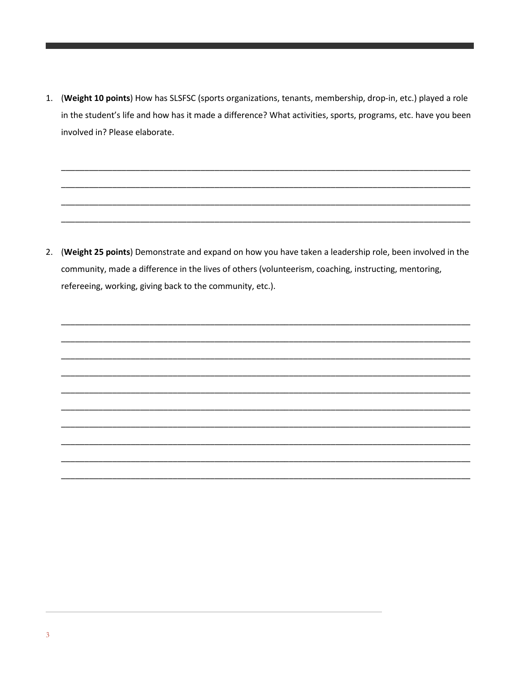1. (Weight 10 points) How has SLSFSC (sports organizations, tenants, membership, drop-in, etc.) played a role in the student's life and how has it made a difference? What activities, sports, programs, etc. have you been involved in? Please elaborate.

2. (Weight 25 points) Demonstrate and expand on how you have taken a leadership role, been involved in the community, made a difference in the lives of others (volunteerism, coaching, instructing, mentoring, refereeing, working, giving back to the community, etc.).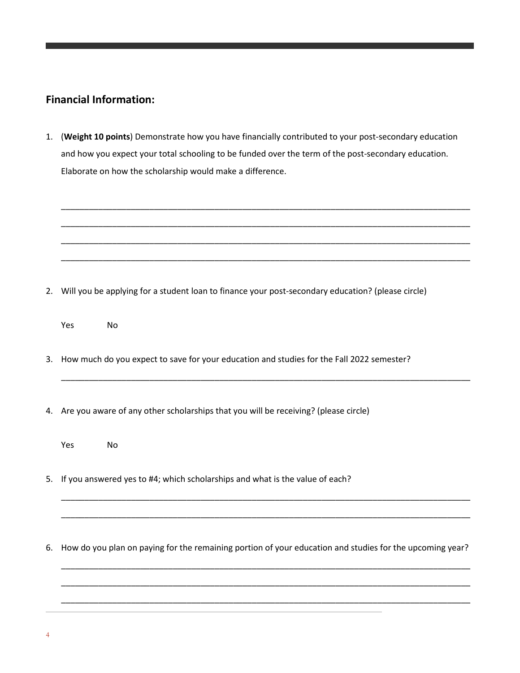## **Financial Information:**

1. (**Weight 10 points**) Demonstrate how you have financially contributed to your post-secondary education and how you expect your total schooling to be funded over the term of the post-secondary education. Elaborate on how the scholarship would make a difference.



\_\_\_\_\_\_\_\_\_\_\_\_\_\_\_\_\_\_\_\_\_\_\_\_\_\_\_\_\_\_\_\_\_\_\_\_\_\_\_\_\_\_\_\_\_\_\_\_\_\_\_\_\_\_\_\_\_\_\_\_\_\_\_\_\_\_\_\_\_\_\_\_\_\_\_\_\_\_\_\_\_\_\_\_\_\_\_\_